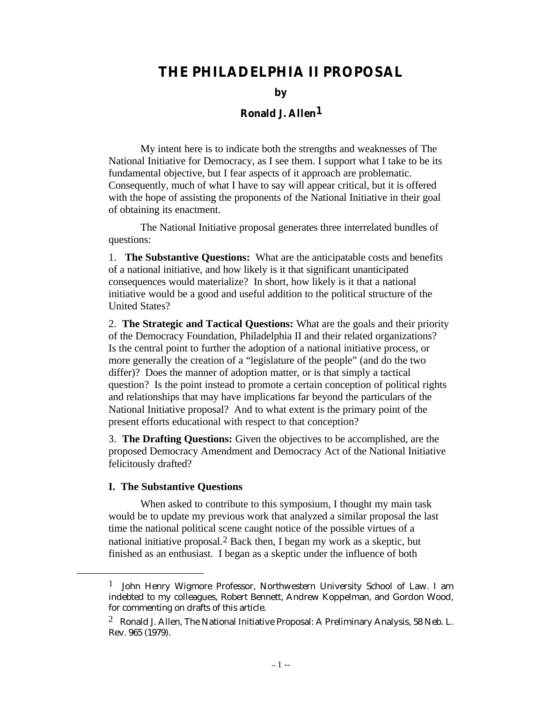# **THE PHILADELPHIA II PROPOSAL**

**by**

# **Ronald J. Allen1**

My intent here is to indicate both the strengths and weaknesses of The National Initiative for Democracy, as I see them. I support what I take to be its fundamental objective, but I fear aspects of it approach are problematic. Consequently, much of what I have to say will appear critical, but it is offered with the hope of assisting the proponents of the National Initiative in their goal of obtaining its enactment.

The National Initiative proposal generates three interrelated bundles of questions:

1. **The Substantive Questions:** What are the anticipatable costs and benefits of a national initiative, and how likely is it that significant unanticipated consequences would materialize? In short, how likely is it that a national initiative would be a good and useful addition to the political structure of the United States?

2. **The Strategic and Tactical Questions:** What are the goals and their priority of the Democracy Foundation, Philadelphia II and their related organizations? Is the central point to further the adoption of a national initiative process, or more generally the creation of a "legislature of the people" (and do the two differ)? Does the manner of adoption matter, or is that simply a tactical question? Is the point instead to promote a certain conception of political rights and relationships that may have implications far beyond the particulars of the National Initiative proposal? And to what extent is the primary point of the present efforts educational with respect to that conception?

3. **The Drafting Questions:** Given the objectives to be accomplished, are the proposed Democracy Amendment and Democracy Act of the National Initiative felicitously drafted?

#### **I. The Substantive Questions**

l

When asked to contribute to this symposium, I thought my main task would be to update my previous work that analyzed a similar proposal the last time the national political scene caught notice of the possible virtues of a national initiative proposal.2 Back then, I began my work as a skeptic, but finished as an enthusiast. I began as a skeptic under the influence of both

 $1$  John Henry Wigmore Professor, Northwestern University School of Law. I am indebted to my colleagues, Robert Bennett, Andrew Koppelman, and Gordon Wood, for commenting on drafts of this article.

<sup>&</sup>lt;sup>2</sup> Ronald J. Allen, The National Initiative Proposal: A Preliminary Analysis, 58 Neb. L. Rev. 965 (1979).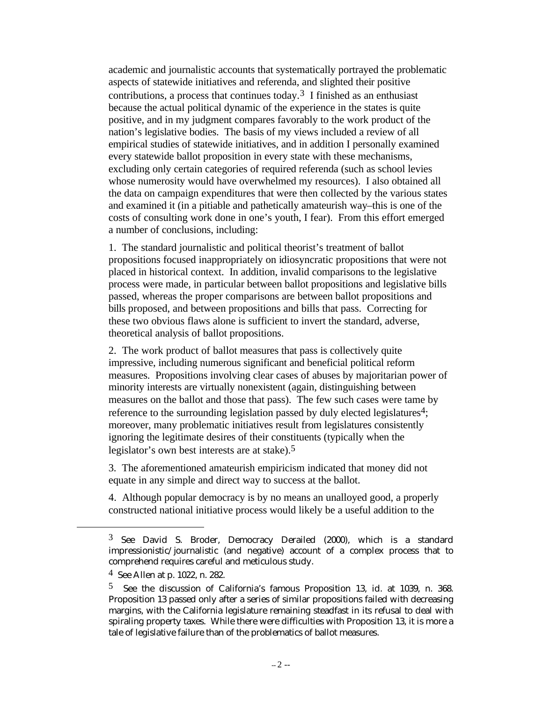academic and journalistic accounts that systematically portrayed the problematic aspects of statewide initiatives and referenda, and slighted their positive contributions, a process that continues today.<sup>3</sup> I finished as an enthusiast because the actual political dynamic of the experience in the states is quite positive, and in my judgment compares favorably to the work product of the nation's legislative bodies. The basis of my views included a review of all empirical studies of statewide initiatives, and in addition I personally examined every statewide ballot proposition in every state with these mechanisms, excluding only certain categories of required referenda (such as school levies whose numerosity would have overwhelmed my resources). I also obtained all the data on campaign expenditures that were then collected by the various states and examined it (in a pitiable and pathetically amateurish way–this is one of the costs of consulting work done in one's youth, I fear). From this effort emerged a number of conclusions, including:

1. The standard journalistic and political theorist's treatment of ballot propositions focused inappropriately on idiosyncratic propositions that were not placed in historical context. In addition, invalid comparisons to the legislative process were made, in particular between ballot propositions and legislative bills passed, whereas the proper comparisons are between ballot propositions and bills proposed, and between propositions and bills that pass. Correcting for these two obvious flaws alone is sufficient to invert the standard, adverse, theoretical analysis of ballot propositions.

2. The work product of ballot measures that pass is collectively quite impressive, including numerous significant and beneficial political reform measures. Propositions involving clear cases of abuses by majoritarian power of minority interests are virtually nonexistent (again, distinguishing between measures on the ballot and those that pass). The few such cases were tame by reference to the surrounding legislation passed by duly elected legislatures<sup>4</sup>; moreover, many problematic initiatives result from legislatures consistently ignoring the legitimate desires of their constituents (typically when the legislator's own best interests are at stake).<sup>5</sup>

3. The aforementioned amateurish empiricism indicated that money did not equate in any simple and direct way to success at the ballot.

4. Although popular democracy is by no means an unalloyed good, a properly constructed national initiative process would likely be a useful addition to the

<sup>3</sup> See David S. Broder, Democracy Derailed (2000), which is a standard impressionistic/journalistic (and negative) account of a complex process that to comprehend requires careful and meticulous study.

<sup>4</sup> See Allen at p. 1022, n. 282.

<sup>5</sup> See the discussion of California's famous Proposition 13, id. at 1039, n. 368. Proposition 13 passed only after a series of similar propositions failed with decreasing margins, with the California legislature remaining steadfast in its refusal to deal with spiraling property taxes. While there were difficulties with Proposition 13, it is more a tale of legislative failure than of the problematics of ballot measures.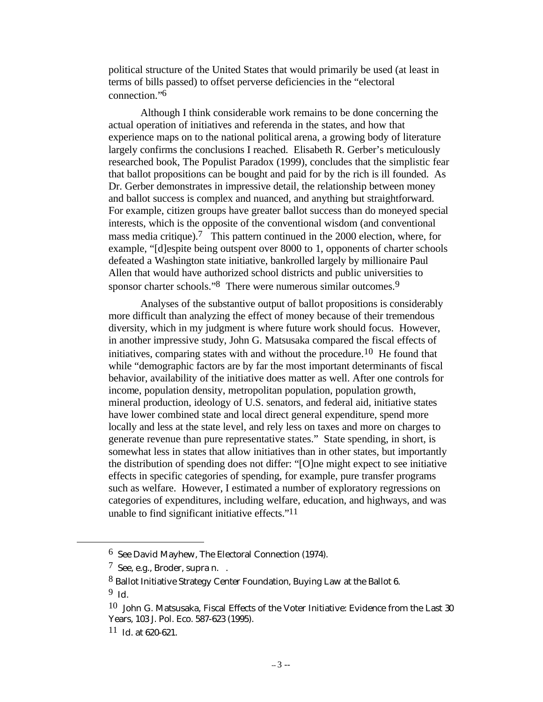political structure of the United States that would primarily be used (at least in terms of bills passed) to offset perverse deficiencies in the "electoral connection."6

Although I think considerable work remains to be done concerning the actual operation of initiatives and referenda in the states, and how that experience maps on to the national political arena, a growing body of literature largely confirms the conclusions I reached. Elisabeth R. Gerber's meticulously researched book, The Populist Paradox (1999), concludes that the simplistic fear that ballot propositions can be bought and paid for by the rich is ill founded. As Dr. Gerber demonstrates in impressive detail, the relationship between money and ballot success is complex and nuanced, and anything but straightforward. For example, citizen groups have greater ballot success than do moneyed special interests, which is the opposite of the conventional wisdom (and conventional mass media critique).<sup>7</sup> This pattern continued in the 2000 election, where, for example, "[d]espite being outspent over 8000 to 1, opponents of charter schools defeated a Washington state initiative, bankrolled largely by millionaire Paul Allen that would have authorized school districts and public universities to sponsor charter schools."<sup>8</sup> There were numerous similar outcomes.<sup>9</sup>

Analyses of the substantive output of ballot propositions is considerably more difficult than analyzing the effect of money because of their tremendous diversity, which in my judgment is where future work should focus. However, in another impressive study, John G. Matsusaka compared the fiscal effects of initiatives, comparing states with and without the procedure.<sup>10</sup> He found that while "demographic factors are by far the most important determinants of fiscal behavior, availability of the initiative does matter as well. After one controls for income, population density, metropolitan population, population growth, mineral production, ideology of U.S. senators, and federal aid, initiative states have lower combined state and local direct general expenditure, spend more locally and less at the state level, and rely less on taxes and more on charges to generate revenue than pure representative states." State spending, in short, is somewhat less in states that allow initiatives than in other states, but importantly the distribution of spending does not differ: "[O]ne might expect to see initiative effects in specific categories of spending, for example, pure transfer programs such as welfare. However, I estimated a number of exploratory regressions on categories of expenditures, including welfare, education, and highways, and was unable to find significant initiative effects."11

<sup>6</sup> See David Mayhew, The Electoral Connection (1974).

 $7$  See, e.g., Broder, supra n...

<sup>8</sup> Ballot Initiative Strategy Center Foundation, Buying Law at the Ballot 6. 9 Id.

 $10$  John G. Matsusaka, Fiscal Effects of the Voter Initiative: Evidence from the Last 30 Years, 103 J. Pol. Eco. 587-623 (1995).

<sup>11</sup> Id. at 620-621.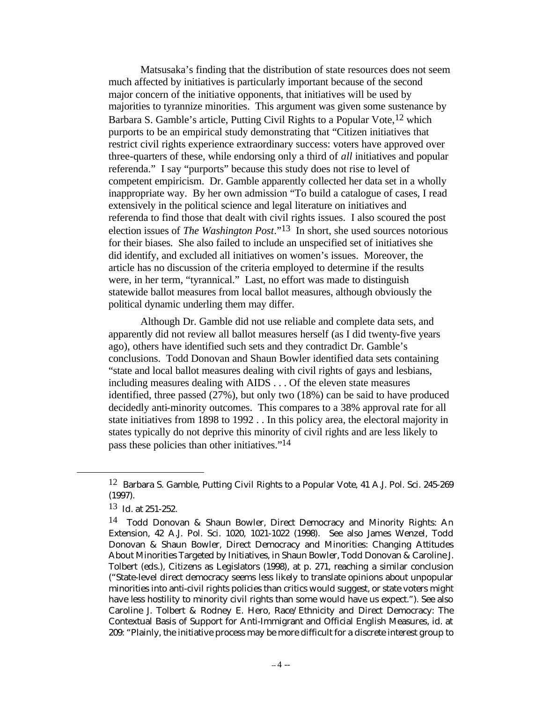Matsusaka's finding that the distribution of state resources does not seem much affected by initiatives is particularly important because of the second major concern of the initiative opponents, that initiatives will be used by majorities to tyrannize minorities. This argument was given some sustenance by Barbara S. Gamble's article, Putting Civil Rights to a Popular Vote,12 which purports to be an empirical study demonstrating that "Citizen initiatives that restrict civil rights experience extraordinary success: voters have approved over three-quarters of these, while endorsing only a third of *all* initiatives and popular referenda." I say "purports" because this study does not rise to level of competent empiricism. Dr. Gamble apparently collected her data set in a wholly inappropriate way. By her own admission "To build a catalogue of cases, I read extensively in the political science and legal literature on initiatives and referenda to find those that dealt with civil rights issues. I also scoured the post election issues of *The Washington Post*."13 In short, she used sources notorious for their biases. She also failed to include an unspecified set of initiatives she did identify, and excluded all initiatives on women's issues. Moreover, the article has no discussion of the criteria employed to determine if the results were, in her term, "tyrannical." Last, no effort was made to distinguish statewide ballot measures from local ballot measures, although obviously the political dynamic underling them may differ.

Although Dr. Gamble did not use reliable and complete data sets, and apparently did not review all ballot measures herself (as I did twenty-five years ago), others have identified such sets and they contradict Dr. Gamble's conclusions. Todd Donovan and Shaun Bowler identified data sets containing "state and local ballot measures dealing with civil rights of gays and lesbians, including measures dealing with AIDS . . . Of the eleven state measures identified, three passed (27%), but only two (18%) can be said to have produced decidedly anti-minority outcomes. This compares to a 38% approval rate for all state initiatives from 1898 to 1992 . . In this policy area, the electoral majority in states typically do not deprive this minority of civil rights and are less likely to pass these policies than other initiatives."14

<sup>12</sup> Barbara S. Gamble, Putting Civil Rights to a Popular Vote, 41 A.J. Pol. Sci. 245-269 (1997).

<sup>13</sup> Id. at 251-252.

<sup>14</sup> Todd Donovan & Shaun Bowler, Direct Democracy and Minority Rights: An Extension, 42 A.J. Pol. Sci. 1020, 1021-1022 (1998). See also James Wenzel, Todd Donovan & Shaun Bowler, Direct Democracy and Minorities: Changing Attitudes About Minorities Targeted by Initiatives, in Shaun Bowler, Todd Donovan & Caroline J. Tolbert (eds.), Citizens as Legislators (1998), at p. 271, reaching a similar conclusion ("State-level direct democracy seems less likely to translate opinions about unpopular minorities into anti-civil rights policies than critics would suggest, or state voters might have less hostility to minority civil rights than some would have us expect."). See also Caroline J. Tolbert & Rodney E. Hero, Race/Ethnicity and Direct Democracy: The Contextual Basis of Support for Anti-Immigrant and Official English Measures, id. at 209: "Plainly, the initiative process may be more difficult for a discrete interest group to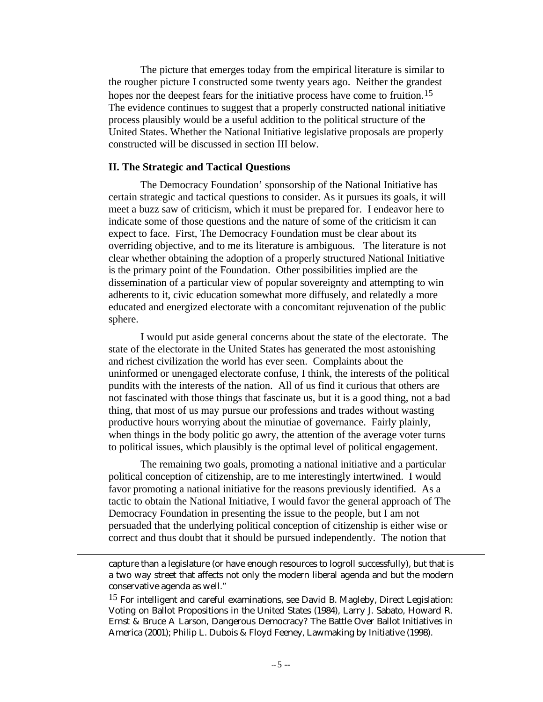The picture that emerges today from the empirical literature is similar to the rougher picture I constructed some twenty years ago. Neither the grandest hopes nor the deepest fears for the initiative process have come to fruition.<sup>15</sup> The evidence continues to suggest that a properly constructed national initiative process plausibly would be a useful addition to the political structure of the United States. Whether the National Initiative legislative proposals are properly constructed will be discussed in section III below.

#### **II. The Strategic and Tactical Questions**

l

The Democracy Foundation' sponsorship of the National Initiative has certain strategic and tactical questions to consider. As it pursues its goals, it will meet a buzz saw of criticism, which it must be prepared for. I endeavor here to indicate some of those questions and the nature of some of the criticism it can expect to face. First, The Democracy Foundation must be clear about its overriding objective, and to me its literature is ambiguous. The literature is not clear whether obtaining the adoption of a properly structured National Initiative is the primary point of the Foundation. Other possibilities implied are the dissemination of a particular view of popular sovereignty and attempting to win adherents to it, civic education somewhat more diffusely, and relatedly a more educated and energized electorate with a concomitant rejuvenation of the public sphere.

I would put aside general concerns about the state of the electorate. The state of the electorate in the United States has generated the most astonishing and richest civilization the world has ever seen. Complaints about the uninformed or unengaged electorate confuse, I think, the interests of the political pundits with the interests of the nation. All of us find it curious that others are not fascinated with those things that fascinate us, but it is a good thing, not a bad thing, that most of us may pursue our professions and trades without wasting productive hours worrying about the minutiae of governance. Fairly plainly, when things in the body politic go awry, the attention of the average voter turns to political issues, which plausibly is the optimal level of political engagement.

The remaining two goals, promoting a national initiative and a particular political conception of citizenship, are to me interestingly intertwined. I would favor promoting a national initiative for the reasons previously identified. As a tactic to obtain the National Initiative, I would favor the general approach of The Democracy Foundation in presenting the issue to the people, but I am not persuaded that the underlying political conception of citizenship is either wise or correct and thus doubt that it should be pursued independently. The notion that

capture than a legislature (or have enough resources to logroll successfully), but that is a two way street that affects not only the modern liberal agenda and but the modern conservative agenda as well."

15 For intelligent and careful examinations, see David B. Magleby, Direct Legislation: Voting on Ballot Propositions in the United States (1984), Larry J. Sabato, Howard R. Ernst & Bruce A Larson, Dangerous Democracy? The Battle Over Ballot Initiatives in America (2001); Philip L. Dubois & Floyd Feeney, Lawmaking by Initiative (1998).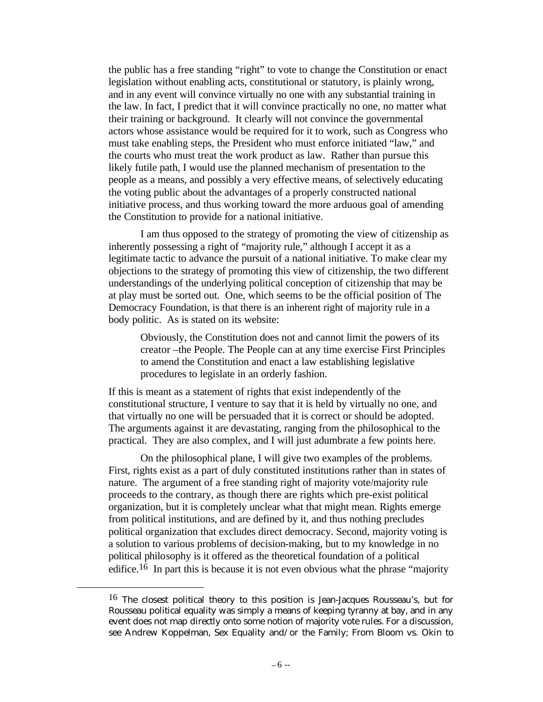the public has a free standing "right" to vote to change the Constitution or enact legislation without enabling acts, constitutional or statutory, is plainly wrong, and in any event will convince virtually no one with any substantial training in the law. In fact, I predict that it will convince practically no one, no matter what their training or background. It clearly will not convince the governmental actors whose assistance would be required for it to work, such as Congress who must take enabling steps, the President who must enforce initiated "law," and the courts who must treat the work product as law. Rather than pursue this likely futile path, I would use the planned mechanism of presentation to the people as a means, and possibly a very effective means, of selectively educating the voting public about the advantages of a properly constructed national initiative process, and thus working toward the more arduous goal of amending the Constitution to provide for a national initiative.

I am thus opposed to the strategy of promoting the view of citizenship as inherently possessing a right of "majority rule," although I accept it as a legitimate tactic to advance the pursuit of a national initiative. To make clear my objections to the strategy of promoting this view of citizenship, the two different understandings of the underlying political conception of citizenship that may be at play must be sorted out. One, which seems to be the official position of The Democracy Foundation, is that there is an inherent right of majority rule in a body politic. As is stated on its website:

Obviously, the Constitution does not and cannot limit the powers of its creator –the People. The People can at any time exercise First Principles to amend the Constitution and enact a law establishing legislative procedures to legislate in an orderly fashion.

If this is meant as a statement of rights that exist independently of the constitutional structure, I venture to say that it is held by virtually no one, and that virtually no one will be persuaded that it is correct or should be adopted. The arguments against it are devastating, ranging from the philosophical to the practical. They are also complex, and I will just adumbrate a few points here.

On the philosophical plane, I will give two examples of the problems. First, rights exist as a part of duly constituted institutions rather than in states of nature. The argument of a free standing right of majority vote/majority rule proceeds to the contrary, as though there are rights which pre-exist political organization, but it is completely unclear what that might mean. Rights emerge from political institutions, and are defined by it, and thus nothing precludes political organization that excludes direct democracy. Second, majority voting is a solution to various problems of decision-making, but to my knowledge in no political philosophy is it offered as the theoretical foundation of a political edifice.16 In part this is because it is not even obvious what the phrase "majority

<sup>16</sup> The closest political theory to this position is Jean-Jacques Rousseau's, but for Rousseau political equality was simply a means of keeping tyranny at bay, and in any event does not map directly onto some notion of majority vote rules. For a discussion, see Andrew Koppelman, Sex Equality and/or the Family; From Bloom vs. Okin to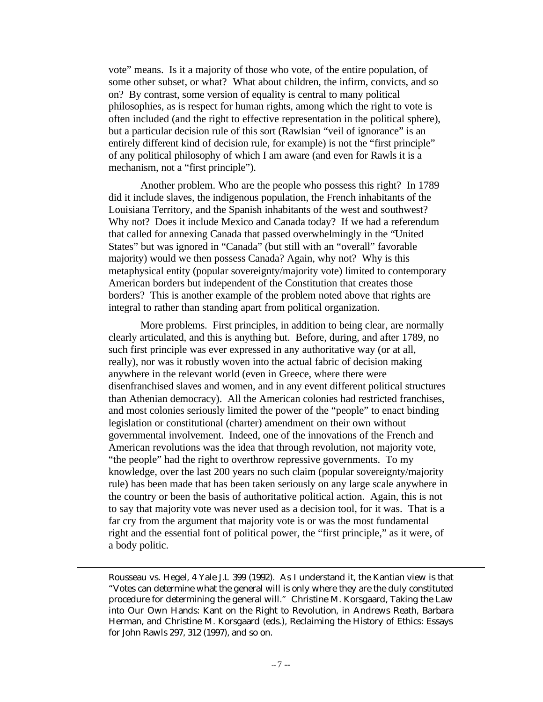vote" means. Is it a majority of those who vote, of the entire population, of some other subset, or what? What about children, the infirm, convicts, and so on? By contrast, some version of equality is central to many political philosophies, as is respect for human rights, among which the right to vote is often included (and the right to effective representation in the political sphere), but a particular decision rule of this sort (Rawlsian "veil of ignorance" is an entirely different kind of decision rule, for example) is not the "first principle" of any political philosophy of which I am aware (and even for Rawls it is a mechanism, not a "first principle").

Another problem. Who are the people who possess this right? In 1789 did it include slaves, the indigenous population, the French inhabitants of the Louisiana Territory, and the Spanish inhabitants of the west and southwest? Why not? Does it include Mexico and Canada today? If we had a referendum that called for annexing Canada that passed overwhelmingly in the "United States" but was ignored in "Canada" (but still with an "overall" favorable majority) would we then possess Canada? Again, why not? Why is this metaphysical entity (popular sovereignty/majority vote) limited to contemporary American borders but independent of the Constitution that creates those borders? This is another example of the problem noted above that rights are integral to rather than standing apart from political organization.

More problems. First principles, in addition to being clear, are normally clearly articulated, and this is anything but. Before, during, and after 1789, no such first principle was ever expressed in any authoritative way (or at all, really), nor was it robustly woven into the actual fabric of decision making anywhere in the relevant world (even in Greece, where there were disenfranchised slaves and women, and in any event different political structures than Athenian democracy). All the American colonies had restricted franchises, and most colonies seriously limited the power of the "people" to enact binding legislation or constitutional (charter) amendment on their own without governmental involvement. Indeed, one of the innovations of the French and American revolutions was the idea that through revolution, not majority vote, "the people" had the right to overthrow repressive governments. To my knowledge, over the last 200 years no such claim (popular sovereignty/majority rule) has been made that has been taken seriously on any large scale anywhere in the country or been the basis of authoritative political action. Again, this is not to say that majority vote was never used as a decision tool, for it was. That is a far cry from the argument that majority vote is or was the most fundamental right and the essential font of political power, the "first principle," as it were, of a body politic.

Rousseau vs. Hegel, 4 Yale J.L 399 (1992). As I understand it, the Kantian view is that "Votes can determine what the general will is only where they are the duly constituted procedure for determining the general will." Christine M. Korsgaard, Taking the Law into Our Own Hands: Kant on the Right to Revolution, in Andrews Reath, Barbara Herman, and Christine M. Korsgaard (eds.), Reclaiming the History of Ethics: Essays for John Rawls 297, 312 (1997), and so on.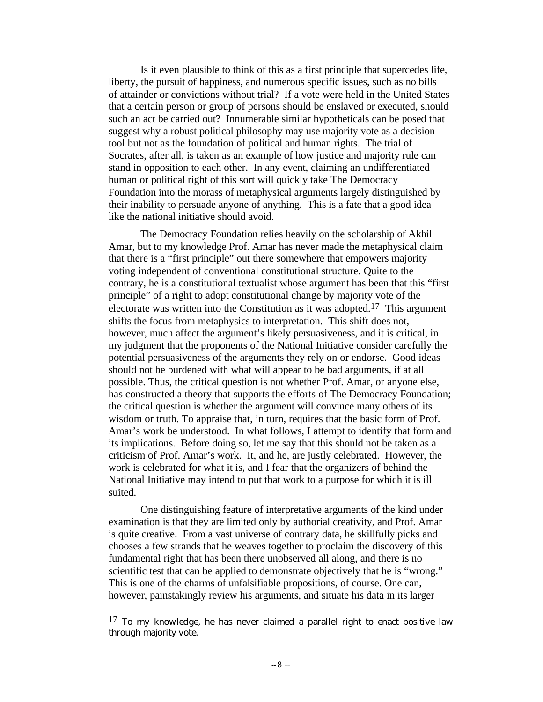Is it even plausible to think of this as a first principle that supercedes life, liberty, the pursuit of happiness, and numerous specific issues, such as no bills of attainder or convictions without trial? If a vote were held in the United States that a certain person or group of persons should be enslaved or executed, should such an act be carried out? Innumerable similar hypotheticals can be posed that suggest why a robust political philosophy may use majority vote as a decision tool but not as the foundation of political and human rights. The trial of Socrates, after all, is taken as an example of how justice and majority rule can stand in opposition to each other. In any event, claiming an undifferentiated human or political right of this sort will quickly take The Democracy Foundation into the morass of metaphysical arguments largely distinguished by their inability to persuade anyone of anything. This is a fate that a good idea like the national initiative should avoid.

The Democracy Foundation relies heavily on the scholarship of Akhil Amar, but to my knowledge Prof. Amar has never made the metaphysical claim that there is a "first principle" out there somewhere that empowers majority voting independent of conventional constitutional structure. Quite to the contrary, he is a constitutional textualist whose argument has been that this "first principle" of a right to adopt constitutional change by majority vote of the electorate was written into the Constitution as it was adopted.<sup>17</sup> This argument shifts the focus from metaphysics to interpretation. This shift does not, however, much affect the argument's likely persuasiveness, and it is critical, in my judgment that the proponents of the National Initiative consider carefully the potential persuasiveness of the arguments they rely on or endorse. Good ideas should not be burdened with what will appear to be bad arguments, if at all possible. Thus, the critical question is not whether Prof. Amar, or anyone else, has constructed a theory that supports the efforts of The Democracy Foundation; the critical question is whether the argument will convince many others of its wisdom or truth. To appraise that, in turn, requires that the basic form of Prof. Amar's work be understood. In what follows, I attempt to identify that form and its implications. Before doing so, let me say that this should not be taken as a criticism of Prof. Amar's work. It, and he, are justly celebrated. However, the work is celebrated for what it is, and I fear that the organizers of behind the National Initiative may intend to put that work to a purpose for which it is ill suited.

One distinguishing feature of interpretative arguments of the kind under examination is that they are limited only by authorial creativity, and Prof. Amar is quite creative. From a vast universe of contrary data, he skillfully picks and chooses a few strands that he weaves together to proclaim the discovery of this fundamental right that has been there unobserved all along, and there is no scientific test that can be applied to demonstrate objectively that he is "wrong." This is one of the charms of unfalsifiable propositions, of course. One can, however, painstakingly review his arguments, and situate his data in its larger

 $17$  To my knowledge, he has never claimed a parallel right to enact positive law through majority vote.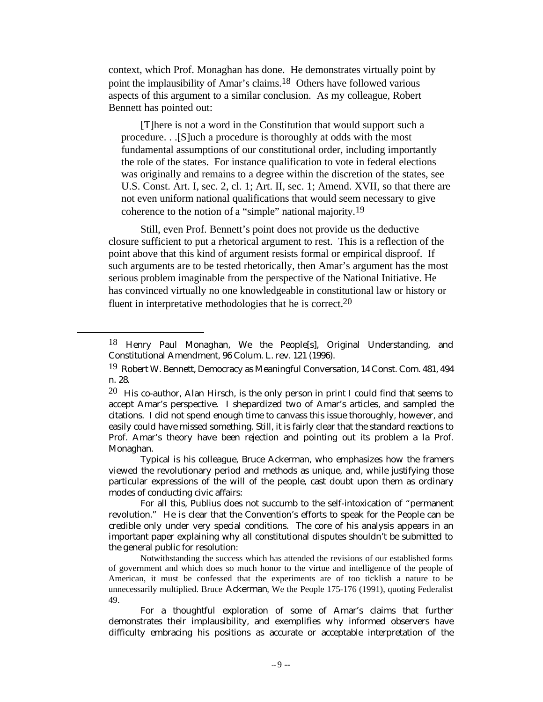context, which Prof. Monaghan has done. He demonstrates virtually point by point the implausibility of Amar's claims.18 Others have followed various aspects of this argument to a similar conclusion. As my colleague, Robert Bennett has pointed out:

[T]here is not a word in the Constitution that would support such a procedure. . .[S]uch a procedure is thoroughly at odds with the most fundamental assumptions of our constitutional order, including importantly the role of the states. For instance qualification to vote in federal elections was originally and remains to a degree within the discretion of the states, see U.S. Const. Art. I, sec. 2, cl. 1; Art. II, sec. 1; Amend. XVII, so that there are not even uniform national qualifications that would seem necessary to give coherence to the notion of a "simple" national majority.19

Still, even Prof. Bennett's point does not provide us the deductive closure sufficient to put a rhetorical argument to rest. This is a reflection of the point above that this kind of argument resists formal or empirical disproof. If such arguments are to be tested rhetorically, then Amar's argument has the most serious problem imaginable from the perspective of the National Initiative. He has convinced virtually no one knowledgeable in constitutional law or history or fluent in interpretative methodologies that he is correct.20

l

Typical is his colleague, Bruce Ackerman, who emphasizes how the framers viewed the revolutionary period and methods as unique, and, while justifying those particular expressions of the will of the people, cast doubt upon them as ordinary modes of conducting civic affairs:

<sup>&</sup>lt;sup>18</sup> Henry Paul Monaghan, We the People[s], Original Understanding, and Constitutional Amendment, 96 Colum. L. rev. 121 (1996).

<sup>19</sup> Robert W. Bennett, Democracy as Meaningful Conversation, 14 Const. Com. 481, 494 n. 28.

<sup>&</sup>lt;sup>20</sup> His co-author, Alan Hirsch, is the only person in print I could find that seems to accept Amar's perspective. I shepardized two of Amar's articles, and sampled the citations. I did not spend enough time to canvass this issue thoroughly, however, and easily could have missed something. Still, it is fairly clear that the standard reactions to Prof. Amar's theory have been rejection and pointing out its problem a la Prof. Monaghan.

For all this, Publius does not succumb to the self-intoxication of "permanent revolution." He is clear that the Convention's efforts to speak for the People can be credible only under very special conditions. The core of his analysis appears in an important paper explaining why all constitutional disputes shouldn't be submitted to the general public for resolution:

Notwithstanding the success which has attended the revisions of our established forms of government and which does so much honor to the virtue and intelligence of the people of American, it must be confessed that the experiments are of too ticklish a nature to be unnecessarily multiplied. Bruce Ackerman, We the People 175-176 (1991), quoting Federalist 49.

For a thoughtful exploration of some of Amar's claims that further demonstrates their implausibility, and exemplifies why informed observers have difficulty embracing his positions as accurate or acceptable interpretation of the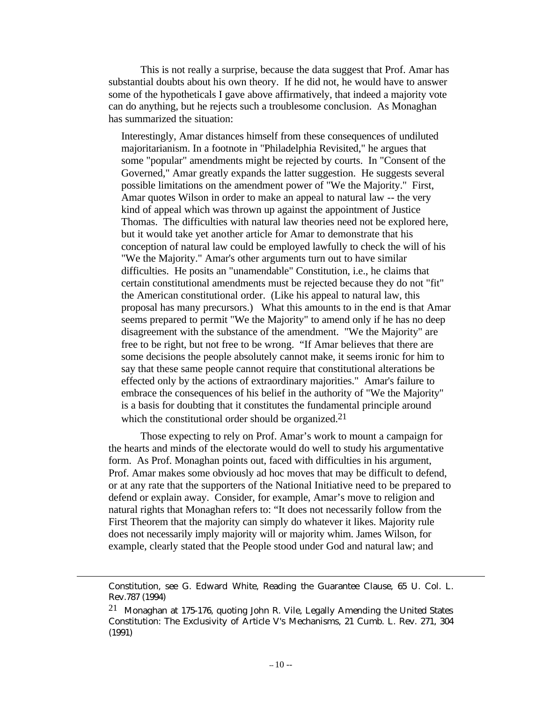This is not really a surprise, because the data suggest that Prof. Amar has substantial doubts about his own theory. If he did not, he would have to answer some of the hypotheticals I gave above affirmatively, that indeed a majority vote can do anything, but he rejects such a troublesome conclusion. As Monaghan has summarized the situation:

Interestingly, Amar distances himself from these consequences of undiluted majoritarianism. In a footnote in "Philadelphia Revisited," he argues that some "popular" amendments might be rejected by courts. In "Consent of the Governed," Amar greatly expands the latter suggestion. He suggests several possible limitations on the amendment power of "We the Majority." First, Amar quotes Wilson in order to make an appeal to natural law -- the very kind of appeal which was thrown up against the appointment of Justice Thomas. The difficulties with natural law theories need not be explored here, but it would take yet another article for Amar to demonstrate that his conception of natural law could be employed lawfully to check the will of his "We the Majority." Amar's other arguments turn out to have similar difficulties. He posits an "unamendable" Constitution, i.e., he claims that certain constitutional amendments must be rejected because they do not "fit" the American constitutional order. (Like his appeal to natural law, this proposal has many precursors.) What this amounts to in the end is that Amar seems prepared to permit "We the Majority" to amend only if he has no deep disagreement with the substance of the amendment. "We the Majority" are free to be right, but not free to be wrong. "If Amar believes that there are some decisions the people absolutely cannot make, it seems ironic for him to say that these same people cannot require that constitutional alterations be effected only by the actions of extraordinary majorities." Amar's failure to embrace the consequences of his belief in the authority of "We the Majority" is a basis for doubting that it constitutes the fundamental principle around which the constitutional order should be organized.<sup>21</sup>

Those expecting to rely on Prof. Amar's work to mount a campaign for the hearts and minds of the electorate would do well to study his argumentative form. As Prof. Monaghan points out, faced with difficulties in his argument, Prof. Amar makes some obviously ad hoc moves that may be difficult to defend, or at any rate that the supporters of the National Initiative need to be prepared to defend or explain away. Consider, for example, Amar's move to religion and natural rights that Monaghan refers to: "It does not necessarily follow from the First Theorem that the majority can simply do whatever it likes. Majority rule does not necessarily imply majority will or majority whim. James Wilson, for example, clearly stated that the People stood under God and natural law; and

Constitution, see G. Edward White, Reading the Guarantee Clause, 65 U. Col. L. Rev.787 (1994)

<sup>21</sup> Monaghan at 175-176, quoting John R. Vile, Legally Amending the United States Constitution: The Exclusivity of Article V's Mechanisms, 21 Cumb. L. Rev. 271, 304 (1991)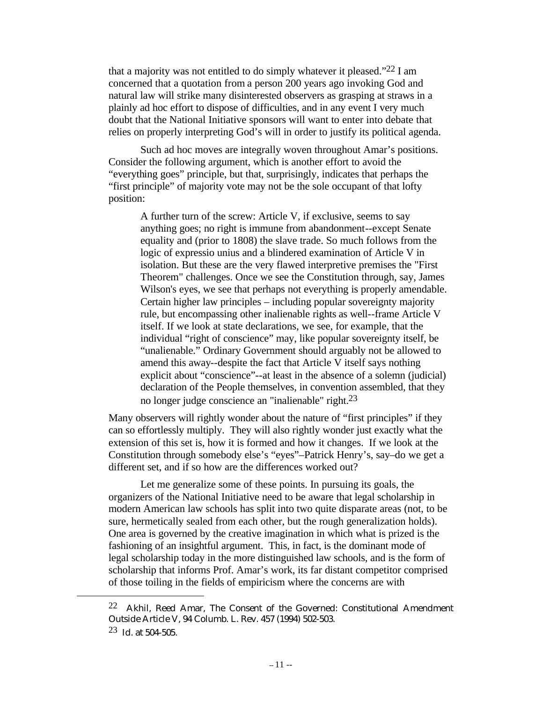that a majority was not entitled to do simply whatever it pleased."22 I am concerned that a quotation from a person 200 years ago invoking God and natural law will strike many disinterested observers as grasping at straws in a plainly ad hoc effort to dispose of difficulties, and in any event I very much doubt that the National Initiative sponsors will want to enter into debate that relies on properly interpreting God's will in order to justify its political agenda.

Such ad hoc moves are integrally woven throughout Amar's positions. Consider the following argument, which is another effort to avoid the "everything goes" principle, but that, surprisingly, indicates that perhaps the "first principle" of majority vote may not be the sole occupant of that lofty position:

A further turn of the screw: Article V, if exclusive, seems to say anything goes; no right is immune from abandonment--except Senate equality and (prior to 1808) the slave trade. So much follows from the logic of expressio unius and a blindered examination of Article V in isolation. But these are the very flawed interpretive premises the "First Theorem" challenges. Once we see the Constitution through, say, James Wilson's eyes, we see that perhaps not everything is properly amendable. Certain higher law principles – including popular sovereignty majority rule, but encompassing other inalienable rights as well--frame Article V itself. If we look at state declarations, we see, for example, that the individual "right of conscience" may, like popular sovereignty itself, be "unalienable." Ordinary Government should arguably not be allowed to amend this away--despite the fact that Article V itself says nothing explicit about "conscience"--at least in the absence of a solemn (judicial) declaration of the People themselves, in convention assembled, that they no longer judge conscience an "inalienable" right.23

Many observers will rightly wonder about the nature of "first principles" if they can so effortlessly multiply. They will also rightly wonder just exactly what the extension of this set is, how it is formed and how it changes. If we look at the Constitution through somebody else's "eyes"–Patrick Henry's, say–do we get a different set, and if so how are the differences worked out?

Let me generalize some of these points. In pursuing its goals, the organizers of the National Initiative need to be aware that legal scholarship in modern American law schools has split into two quite disparate areas (not, to be sure, hermetically sealed from each other, but the rough generalization holds). One area is governed by the creative imagination in which what is prized is the fashioning of an insightful argument. This, in fact, is the dominant mode of legal scholarship today in the more distinguished law schools, and is the form of scholarship that informs Prof. Amar's work, its far distant competitor comprised of those toiling in the fields of empiricism where the concerns are with

<sup>&</sup>lt;sup>22</sup> Akhil, Reed Amar, The Consent of the Governed: Constitutional Amendment Outside Article V, 94 Columb. L. Rev. 457 (1994) 502-503. 23 Id. at 504-505.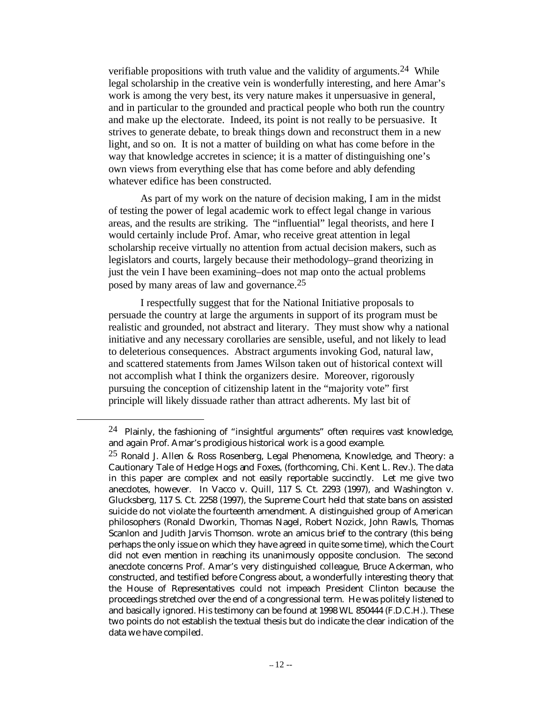verifiable propositions with truth value and the validity of arguments.24 While legal scholarship in the creative vein is wonderfully interesting, and here Amar's work is among the very best, its very nature makes it unpersuasive in general, and in particular to the grounded and practical people who both run the country and make up the electorate. Indeed, its point is not really to be persuasive. It strives to generate debate, to break things down and reconstruct them in a new light, and so on. It is not a matter of building on what has come before in the way that knowledge accretes in science; it is a matter of distinguishing one's own views from everything else that has come before and ably defending whatever edifice has been constructed.

As part of my work on the nature of decision making, I am in the midst of testing the power of legal academic work to effect legal change in various areas, and the results are striking. The "influential" legal theorists, and here I would certainly include Prof. Amar, who receive great attention in legal scholarship receive virtually no attention from actual decision makers, such as legislators and courts, largely because their methodology–grand theorizing in just the vein I have been examining–does not map onto the actual problems posed by many areas of law and governance.25

I respectfully suggest that for the National Initiative proposals to persuade the country at large the arguments in support of its program must be realistic and grounded, not abstract and literary. They must show why a national initiative and any necessary corollaries are sensible, useful, and not likely to lead to deleterious consequences. Abstract arguments invoking God, natural law, and scattered statements from James Wilson taken out of historical context will not accomplish what I think the organizers desire. Moreover, rigorously pursuing the conception of citizenship latent in the "majority vote" first principle will likely dissuade rather than attract adherents. My last bit of

<sup>&</sup>lt;sup>24</sup> Plainly, the fashioning of "insightful arguments" often requires vast knowledge, and again Prof. Amar's prodigious historical work is a good example.

<sup>&</sup>lt;sup>25</sup> Ronald J. Allen & Ross Rosenberg, Legal Phenomena, Knowledge, and Theory: a Cautionary Tale of Hedge Hogs and Foxes, (forthcoming, Chi. Kent L. Rev.). The data in this paper are complex and not easily reportable succinctly. Let me give two anecdotes, however. In Vacco v. Quill, 117 S. Ct. 2293 (1997), and Washington v. Glucksberg, 117 S. Ct. 2258 (1997), the Supreme Court held that state bans on assisted suicide do not violate the fourteenth amendment. A distinguished group of American philosophers (Ronald Dworkin, Thomas Nagel, Robert Nozick, John Rawls, Thomas Scanlon and Judith Jarvis Thomson. wrote an amicus brief to the contrary (this being perhaps the only issue on which they have agreed in quite some time), which the Court did not even mention in reaching its unanimously opposite conclusion. The second anecdote concerns Prof. Amar's very distinguished colleague, Bruce Ackerman, who constructed, and testified before Congress about, a wonderfully interesting theory that the House of Representatives could not impeach President Clinton because the proceedings stretched over the end of a congressional term. He was politely listened to and basically ignored. His testimony can be found at 1998 WL 850444 (F.D.C.H.). These two points do not establish the textual thesis but do indicate the clear indication of the data we have compiled.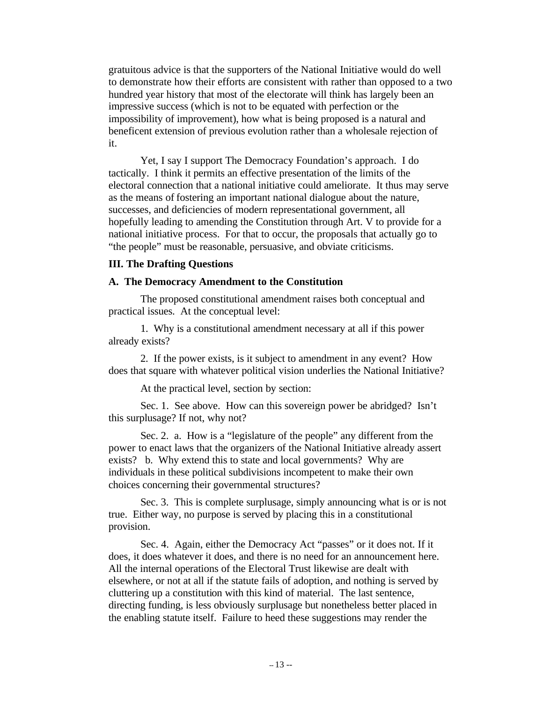gratuitous advice is that the supporters of the National Initiative would do well to demonstrate how their efforts are consistent with rather than opposed to a two hundred year history that most of the electorate will think has largely been an impressive success (which is not to be equated with perfection or the impossibility of improvement), how what is being proposed is a natural and beneficent extension of previous evolution rather than a wholesale rejection of it.

Yet, I say I support The Democracy Foundation's approach. I do tactically. I think it permits an effective presentation of the limits of the electoral connection that a national initiative could ameliorate. It thus may serve as the means of fostering an important national dialogue about the nature, successes, and deficiencies of modern representational government, all hopefully leading to amending the Constitution through Art. V to provide for a national initiative process. For that to occur, the proposals that actually go to "the people" must be reasonable, persuasive, and obviate criticisms.

## **III. The Drafting Questions**

## **A. The Democracy Amendment to the Constitution**

The proposed constitutional amendment raises both conceptual and practical issues. At the conceptual level:

1. Why is a constitutional amendment necessary at all if this power already exists?

2. If the power exists, is it subject to amendment in any event? How does that square with whatever political vision underlies the National Initiative?

At the practical level, section by section:

Sec. 1. See above. How can this sovereign power be abridged? Isn't this surplusage? If not, why not?

Sec. 2. a. How is a "legislature of the people" any different from the power to enact laws that the organizers of the National Initiative already assert exists? b. Why extend this to state and local governments? Why are individuals in these political subdivisions incompetent to make their own choices concerning their governmental structures?

Sec. 3. This is complete surplusage, simply announcing what is or is not true. Either way, no purpose is served by placing this in a constitutional provision.

Sec. 4. Again, either the Democracy Act "passes" or it does not. If it does, it does whatever it does, and there is no need for an announcement here. All the internal operations of the Electoral Trust likewise are dealt with elsewhere, or not at all if the statute fails of adoption, and nothing is served by cluttering up a constitution with this kind of material. The last sentence, directing funding, is less obviously surplusage but nonetheless better placed in the enabling statute itself. Failure to heed these suggestions may render the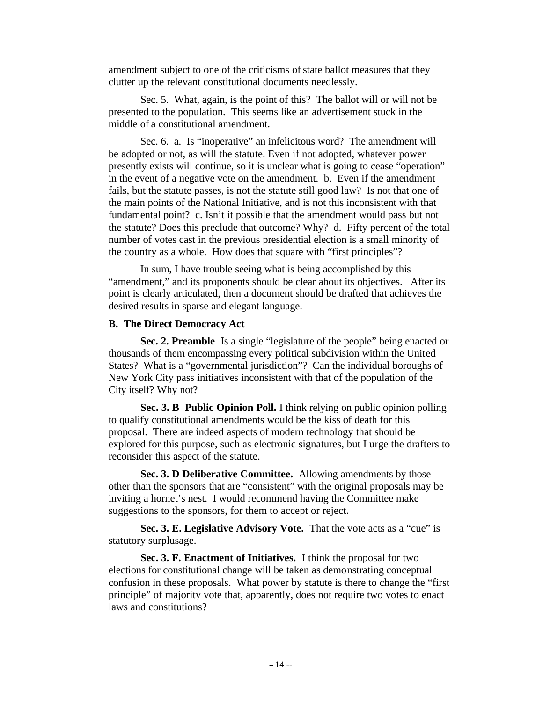amendment subject to one of the criticisms of state ballot measures that they clutter up the relevant constitutional documents needlessly.

Sec. 5. What, again, is the point of this? The ballot will or will not be presented to the population. This seems like an advertisement stuck in the middle of a constitutional amendment.

Sec. 6. a. Is "inoperative" an infelicitous word? The amendment will be adopted or not, as will the statute. Even if not adopted, whatever power presently exists will continue, so it is unclear what is going to cease "operation" in the event of a negative vote on the amendment. b. Even if the amendment fails, but the statute passes, is not the statute still good law? Is not that one of the main points of the National Initiative, and is not this inconsistent with that fundamental point? c. Isn't it possible that the amendment would pass but not the statute? Does this preclude that outcome? Why? d. Fifty percent of the total number of votes cast in the previous presidential election is a small minority of the country as a whole. How does that square with "first principles"?

In sum, I have trouble seeing what is being accomplished by this "amendment," and its proponents should be clear about its objectives. After its point is clearly articulated, then a document should be drafted that achieves the desired results in sparse and elegant language.

#### **B. The Direct Democracy Act**

**Sec. 2. Preamble** Is a single "legislature of the people" being enacted or thousands of them encompassing every political subdivision within the United States? What is a "governmental jurisdiction"? Can the individual boroughs of New York City pass initiatives inconsistent with that of the population of the City itself? Why not?

**Sec. 3. B Public Opinion Poll.** I think relying on public opinion polling to qualify constitutional amendments would be the kiss of death for this proposal. There are indeed aspects of modern technology that should be explored for this purpose, such as electronic signatures, but I urge the drafters to reconsider this aspect of the statute.

**Sec. 3. D Deliberative Committee.** Allowing amendments by those other than the sponsors that are "consistent" with the original proposals may be inviting a hornet's nest. I would recommend having the Committee make suggestions to the sponsors, for them to accept or reject.

**Sec. 3. E. Legislative Advisory Vote.** That the vote acts as a "cue" is statutory surplusage.

**Sec. 3. F. Enactment of Initiatives.** I think the proposal for two elections for constitutional change will be taken as demonstrating conceptual confusion in these proposals. What power by statute is there to change the "first principle" of majority vote that, apparently, does not require two votes to enact laws and constitutions?